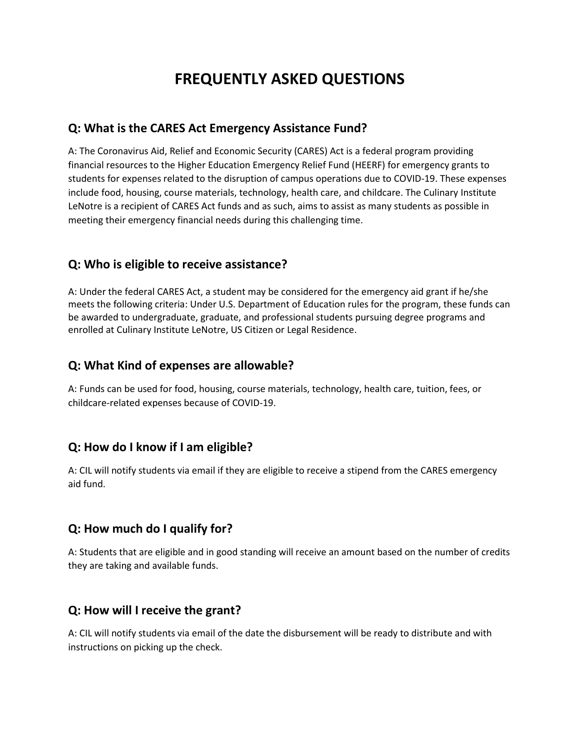# **FREQUENTLY ASKED QUESTIONS**

#### **Q: What is the CARES Act Emergency Assistance Fund?**

A: The Coronavirus Aid, Relief and Economic Security (CARES) Act is a federal program providing financial resources to the Higher Education Emergency Relief Fund (HEERF) for emergency grants to students for expenses related to the disruption of campus operations due to COVID-19. These expenses include food, housing, course materials, technology, health care, and childcare. The Culinary Institute LeNotre is a recipient of CARES Act funds and as such, aims to assist as many students as possible in meeting their emergency financial needs during this challenging time.

#### **Q: Who is eligible to receive assistance?**

A: Under the federal CARES Act, a student may be considered for the emergency aid grant if he/she meets the following criteria: Under U.S. Department of Education rules for the program, these funds can be awarded to undergraduate, graduate, and professional students pursuing degree programs and enrolled at Culinary Institute LeNotre, US Citizen or Legal Residence.

#### **Q: What Kind of expenses are allowable?**

A: Funds can be used for food, housing, course materials, technology, health care, tuition, fees, or childcare-related expenses because of COVID-19.

## **Q: How do I know if I am eligible?**

A: CIL will notify students via email if they are eligible to receive a stipend from the CARES emergency aid fund.

## **Q: How much do I qualify for?**

A: Students that are eligible and in good standing will receive an amount based on the number of credits they are taking and available funds.

## **Q: How will I receive the grant?**

A: CIL will notify students via email of the date the disbursement will be ready to distribute and with instructions on picking up the check.